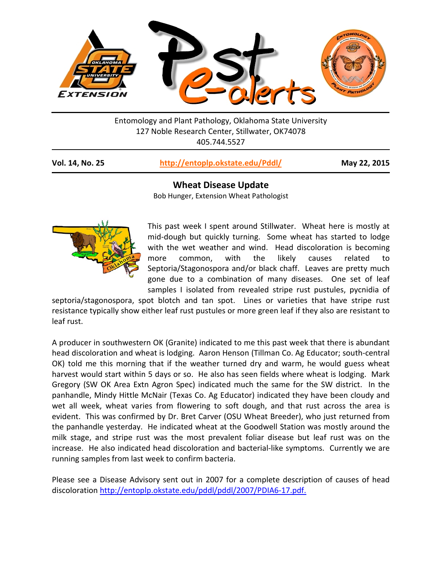

Entomology and Plant Pathology, Oklahoma State University 127 Noble Research Center, Stillwater, OK74078 405.744.5527

|  | <b>Vol. 14, No. 25</b> | http://entoplp.okstate.edu/Pddl/ |
|--|------------------------|----------------------------------|
|--|------------------------|----------------------------------|

**May 22, 2015** 

**Wheat Disease Update** Bob Hunger, Extension Wheat Pathologist



This past week I spent around Stillwater. Wheat here is mostly at mid-dough but quickly turning. Some wheat has started to lodge with the wet weather and wind. Head discoloration is becoming more common, with the likely causes related to Septoria/Stagonospora and/or black chaff. Leaves are pretty much gone due to a combination of many diseases. One set of leaf samples I isolated from revealed stripe rust pustules, pycnidia of

septoria/stagonospora, spot blotch and tan spot. Lines or varieties that have stripe rust resistance typically show either leaf rust pustules or more green leaf if they also are resistant to leaf rust.

A producer in southwestern OK (Granite) indicated to me this past week that there is abundant head discoloration and wheat is lodging. Aaron Henson (Tillman Co. Ag Educator; south-central OK) told me this morning that if the weather turned dry and warm, he would guess wheat harvest would start within 5 days or so. He also has seen fields where wheat is lodging. Mark Gregory (SW OK Area Extn Agron Spec) indicated much the same for the SW district. In the panhandle, Mindy Hittle McNair (Texas Co. Ag Educator) indicated they have been cloudy and wet all week, wheat varies from flowering to soft dough, and that rust across the area is evident. This was confirmed by Dr. Bret Carver (OSU Wheat Breeder), who just returned from the panhandle yesterday. He indicated wheat at the Goodwell Station was mostly around the milk stage, and stripe rust was the most prevalent foliar disease but leaf rust was on the increase. He also indicated head discoloration and bacterial-like symptoms. Currently we are running samples from last week to confirm bacteria.

Please see a Disease Advisory sent out in 2007 for a complete description of causes of head discoloration [http://entoplp.okstate.edu/pddl/pddl/2007/PDIA6-17.pdf.](http://entoplp.okstate.edu/pddl/pddl/2007/PDIA6-17.pdf)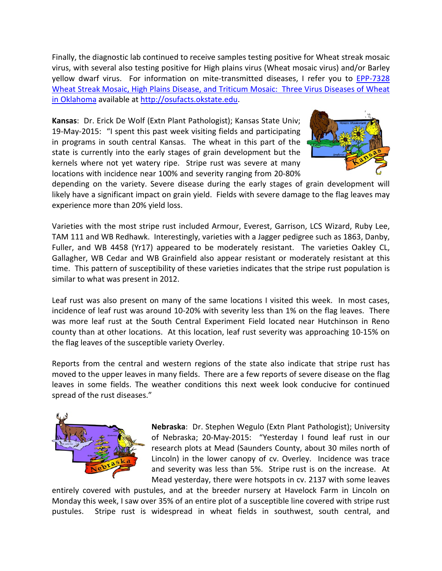Finally, the diagnostic lab continued to receive samples testing positive for Wheat streak mosaic virus, with several also testing positive for High plains virus (Wheat mosaic virus) and/or Barley yellow dwarf virus. For information on mite-transmitted diseases, I refer you to EPP-7328 Wheat Streak Mosaic, High Plains Disease, and Triticum Mosaic: Three Virus Diseases of Wheat in Oklahoma available a[t http://osufacts.okstate.edu.](http://osufacts.okstate.edu/)

**Kansas**: Dr. Erick De Wolf (Extn Plant Pathologist); Kansas State Univ; 19-May-2015: "I spent this past week visiting fields and participating in programs in south central Kansas. The wheat in this part of the state is currently into the early stages of grain development but the kernels where not yet watery ripe. Stripe rust was severe at many locations with incidence near 100% and severity ranging from 20-80%



depending on the variety. Severe disease during the early stages of grain development will likely have a significant impact on grain yield. Fields with severe damage to the flag leaves may experience more than 20% yield loss.

Varieties with the most stripe rust included Armour, Everest, Garrison, LCS Wizard, Ruby Lee, TAM 111 and WB Redhawk. Interestingly, varieties with a Jagger pedigree such as 1863, Danby, Fuller, and WB 4458 (Yr17) appeared to be moderately resistant. The varieties Oakley CL, Gallagher, WB Cedar and WB Grainfield also appear resistant or moderately resistant at this time. This pattern of susceptibility of these varieties indicates that the stripe rust population is similar to what was present in 2012.

Leaf rust was also present on many of the same locations I visited this week. In most cases, incidence of leaf rust was around 10-20% with severity less than 1% on the flag leaves. There was more leaf rust at the South Central Experiment Field located near Hutchinson in Reno county than at other locations. At this location, leaf rust severity was approaching 10-15% on the flag leaves of the susceptible variety Overley.

Reports from the central and western regions of the state also indicate that stripe rust has moved to the upper leaves in many fields. There are a few reports of severe disease on the flag leaves in some fields. The weather conditions this next week look conducive for continued spread of the rust diseases."



**Nebraska**: Dr. Stephen Wegulo (Extn Plant Pathologist); University of Nebraska; 20-May-2015: "Yesterday I found leaf rust in our research plots at Mead (Saunders County, about 30 miles north of Lincoln) in the lower canopy of cv. Overley. Incidence was trace and severity was less than 5%. Stripe rust is on the increase. At Mead yesterday, there were hotspots in cv. 2137 with some leaves

entirely covered with pustules, and at the breeder nursery at Havelock Farm in Lincoln on Monday this week, I saw over 35% of an entire plot of a susceptible line covered with stripe rust pustules. Stripe rust is widespread in wheat fields in southwest, south central, and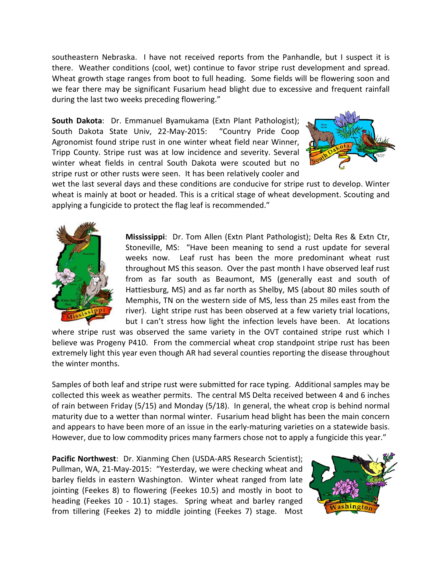southeastern Nebraska. I have not received reports from the Panhandle, but I suspect it is there. Weather conditions (cool, wet) continue to favor stripe rust development and spread. Wheat growth stage ranges from boot to full heading. Some fields will be flowering soon and we fear there may be significant Fusarium head blight due to excessive and frequent rainfall during the last two weeks preceding flowering."

**South Dakota**: Dr. Emmanuel Byamukama (Extn Plant Pathologist); South Dakota State Univ, 22-May-2015: "Country Pride Coop Agronomist found stripe rust in one winter wheat field near Winner, Tripp County. Stripe rust was at low incidence and severity. Several winter wheat fields in central South Dakota were scouted but no stripe rust or other rusts were seen. It has been relatively cooler and



wet the last several days and these conditions are conducive for stripe rust to develop. Winter wheat is mainly at boot or headed. This is a critical stage of wheat development. Scouting and applying a fungicide to protect the flag leaf is recommended."



**Mississippi**: Dr. Tom Allen (Extn Plant Pathologist); Delta Res & Extn Ctr, Stoneville, MS: "Have been meaning to send a rust update for several weeks now. Leaf rust has been the more predominant wheat rust throughout MS this season. Over the past month I have observed leaf rust from as far south as Beaumont, MS (generally east and south of Hattiesburg, MS) and as far north as Shelby, MS (about 80 miles south of Memphis, TN on the western side of MS, less than 25 miles east from the river). Light stripe rust has been observed at a few variety trial locations, but I can't stress how light the infection levels have been. At locations

where stripe rust was observed the same variety in the OVT contained stripe rust which I believe was Progeny P410. From the commercial wheat crop standpoint stripe rust has been extremely light this year even though AR had several counties reporting the disease throughout the winter months.

Samples of both leaf and stripe rust were submitted for race typing. Additional samples may be collected this week as weather permits. The central MS Delta received between 4 and 6 inches of rain between Friday (5/15) and Monday (5/18). In general, the wheat crop is behind normal maturity due to a wetter than normal winter. Fusarium head blight has been the main concern and appears to have been more of an issue in the early-maturing varieties on a statewide basis. However, due to low commodity prices many farmers chose not to apply a fungicide this year."

**Pacific Northwest**: Dr. Xianming Chen (USDA-ARS Research Scientist); Pullman, WA, 21-May-2015: "Yesterday, we were checking wheat and barley fields in eastern Washington. Winter wheat ranged from late jointing (Feekes 8) to flowering (Feekes 10.5) and mostly in boot to heading (Feekes 10 - 10.1) stages. Spring wheat and barley ranged from tillering (Feekes 2) to middle jointing (Feekes 7) stage. Most

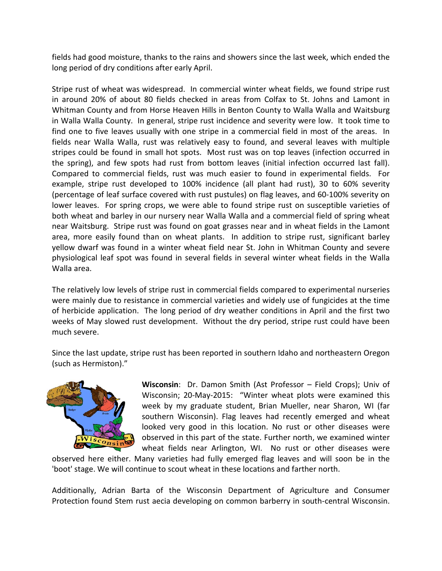fields had good moisture, thanks to the rains and showers since the last week, which ended the long period of dry conditions after early April.

Stripe rust of wheat was widespread. In commercial winter wheat fields, we found stripe rust in around 20% of about 80 fields checked in areas from Colfax to St. Johns and Lamont in Whitman County and from Horse Heaven Hills in Benton County to Walla Walla and Waitsburg in Walla Walla County. In general, stripe rust incidence and severity were low. It took time to find one to five leaves usually with one stripe in a commercial field in most of the areas. In fields near Walla Walla, rust was relatively easy to found, and several leaves with multiple stripes could be found in small hot spots. Most rust was on top leaves (infection occurred in the spring), and few spots had rust from bottom leaves (initial infection occurred last fall). Compared to commercial fields, rust was much easier to found in experimental fields. For example, stripe rust developed to 100% incidence (all plant had rust), 30 to 60% severity (percentage of leaf surface covered with rust pustules) on flag leaves, and 60-100% severity on lower leaves. For spring crops, we were able to found stripe rust on susceptible varieties of both wheat and barley in our nursery near Walla Walla and a commercial field of spring wheat near Waitsburg. Stripe rust was found on goat grasses near and in wheat fields in the Lamont area, more easily found than on wheat plants. In addition to stripe rust, significant barley yellow dwarf was found in a winter wheat field near St. John in Whitman County and severe physiological leaf spot was found in several fields in several winter wheat fields in the Walla Walla area.

The relatively low levels of stripe rust in commercial fields compared to experimental nurseries were mainly due to resistance in commercial varieties and widely use of fungicides at the time of herbicide application. The long period of dry weather conditions in April and the first two weeks of May slowed rust development. Without the dry period, stripe rust could have been much severe.

Since the last update, stripe rust has been reported in southern Idaho and northeastern Oregon (such as Hermiston)."



**Wisconsin**: Dr. Damon Smith (Ast Professor – Field Crops); Univ of Wisconsin; 20-May-2015: "Winter wheat plots were examined this week by my graduate student, Brian Mueller, near Sharon, WI (far southern Wisconsin). Flag leaves had recently emerged and wheat looked very good in this location. No rust or other diseases were observed in this part of the state. Further north, we examined winter wheat fields near Arlington, WI. No rust or other diseases were

observed here either. Many varieties had fully emerged flag leaves and will soon be in the 'boot' stage. We will continue to scout wheat in these locations and farther north.

Additionally, Adrian Barta of the Wisconsin Department of Agriculture and Consumer Protection found Stem rust aecia developing on common barberry in south-central Wisconsin.